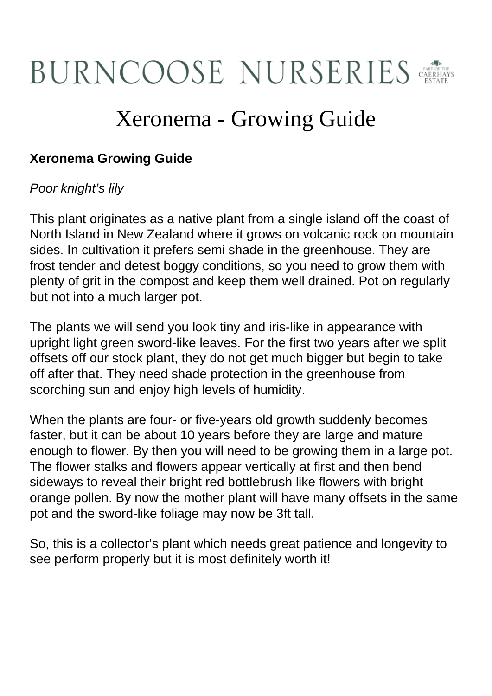## **BURNCOOSE NURSERIES**

## Xeronema - Growing Guide

## **Xeronema Growing Guide**

## Poor knight's lily

This plant originates as a native plant from a single island off the coast of North Island in New Zealand where it grows on volcanic rock on mountain sides. In cultivation it prefers semi shade in the greenhouse. They are frost tender and detest boggy conditions, so you need to grow them with plenty of grit in the compost and keep them well drained. Pot on regularly but not into a much larger pot.

The plants we will send you look tiny and iris-like in appearance with upright light green sword-like leaves. For the first two years after we split offsets off our stock plant, they do not get much bigger but begin to take off after that. They need shade protection in the greenhouse from scorching sun and enjoy high levels of humidity.

When the plants are four- or five-years old growth suddenly becomes faster, but it can be about 10 years before they are large and mature enough to flower. By then you will need to be growing them in a large pot. The flower stalks and flowers appear vertically at first and then bend sideways to reveal their bright red bottlebrush like flowers with bright orange pollen. By now the mother plant will have many offsets in the same pot and the sword-like foliage may now be 3ft tall.

So, this is a collector's plant which needs great patience and longevity to see perform properly but it is most definitely worth it!